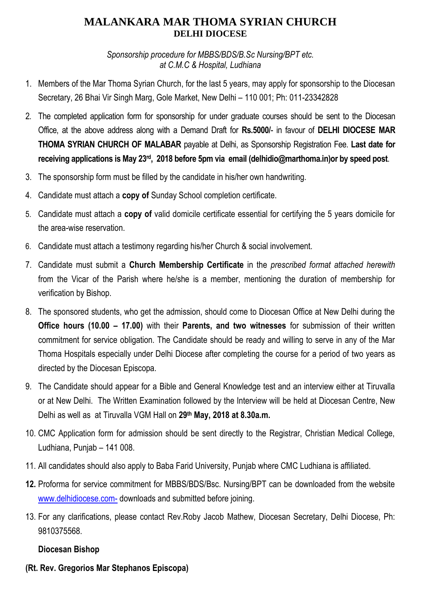## **MALANKARA MAR THOMA SYRIAN CHURCH DELHI DIOCESE**

*Sponsorship procedure for MBBS/BDS/B.Sc Nursing/BPT etc. at C.M.C & Hospital, Ludhiana*

- 1. Members of the Mar Thoma Syrian Church, for the last 5 years, may apply for sponsorship to the Diocesan Secretary, 26 Bhai Vir Singh Marg, Gole Market, New Delhi – 110 001; Ph: 011-23342828
- 2. The completed application form for sponsorship for under graduate courses should be sent to the Diocesan Office, at the above address along with a Demand Draft for **Rs.5000/**- in favour of **DELHI DIOCESE MAR THOMA SYRIAN CHURCH OF MALABAR** payable at Delhi, as Sponsorship Registration Fee. **Last date for receiving applications is May 23rd , 2018 before 5pm via email (delhidio@marthoma.in)or by speed post**.
- 3. The sponsorship form must be filled by the candidate in his/her own handwriting.
- 4. Candidate must attach a **copy of** Sunday School completion certificate.
- 5. Candidate must attach a **copy of** valid domicile certificate essential for certifying the 5 years domicile for the area-wise reservation.
- 6. Candidate must attach a testimony regarding his/her Church & social involvement.
- 7. Candidate must submit a **Church Membership Certificate** in the *prescribed format attached herewith*  from the Vicar of the Parish where he/she is a member, mentioning the duration of membership for verification by Bishop.
- 8. The sponsored students, who get the admission, should come to Diocesan Office at New Delhi during the **Office hours (10.00 – 17.00)** with their **Parents, and two witnesses** for submission of their written commitment for service obligation. The Candidate should be ready and willing to serve in any of the Mar Thoma Hospitals especially under Delhi Diocese after completing the course for a period of two years as directed by the Diocesan Episcopa.
- 9. The Candidate should appear for a Bible and General Knowledge test and an interview either at Tiruvalla or at New Delhi. The Written Examination followed by the Interview will be held at Diocesan Centre, New Delhi as well as at Tiruvalla VGM Hall on **29th May, 2018 at 8.30a.m.**
- 10. CMC Application form for admission should be sent directly to the Registrar, Christian Medical College, Ludhiana, Punjab – 141 008.
- 11. All candidates should also apply to Baba Farid University, Punjab where CMC Ludhiana is affiliated.
- **12.** Proforma for service commitment for MBBS/BDS/Bsc. Nursing/BPT can be downloaded from the website [www.delhidiocese.com-](http://www.delhidiocese.com-/) downloads and submitted before joining.
- 13. For any clarifications, please contact Rev.Roby Jacob Mathew, Diocesan Secretary, Delhi Diocese, Ph: 9810375568.

### **Diocesan Bishop**

**(Rt. Rev. Gregorios Mar Stephanos Episcopa)**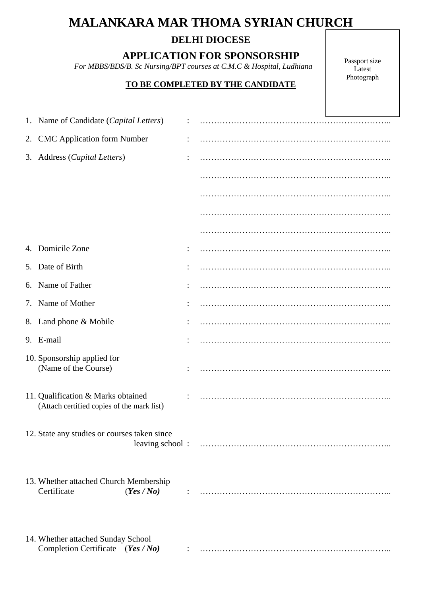# **MALANKARA MAR THOMA SYRIAN CHURCH**

## **DELHI DIOCESE**

**APPLICATION FOR SPONSORSHIP**

 *For MBBS/BDS/B. Sc Nursing/BPT courses at C.M.C & Hospital, Ludhiana*

#### **TO BE COMPLETED BY THE CANDIDATE**

Passport size Latest Photograph

| 1. Name of Candidate (Capital Letters)                                           |  |  |
|----------------------------------------------------------------------------------|--|--|
| 2. CMC Application form Number                                                   |  |  |
| 3. Address (Capital Letters)                                                     |  |  |
|                                                                                  |  |  |
|                                                                                  |  |  |
|                                                                                  |  |  |
|                                                                                  |  |  |
| 4. Domicile Zone                                                                 |  |  |
| 5. Date of Birth                                                                 |  |  |
| 6. Name of Father                                                                |  |  |
| 7. Name of Mother                                                                |  |  |
| 8. Land phone & Mobile                                                           |  |  |
| 9. E-mail                                                                        |  |  |
| 10. Sponsorship applied for<br>(Name of the Course)                              |  |  |
| 11. Qualification & Marks obtained<br>(Attach certified copies of the mark list) |  |  |
| 12. State any studies or courses taken since                                     |  |  |
| 13. Whether attached Church Membership<br>Certificate<br>(Yes / No)              |  |  |
| 14. Whether attached Sunday School<br>Completion Certificate (Yes / No)          |  |  |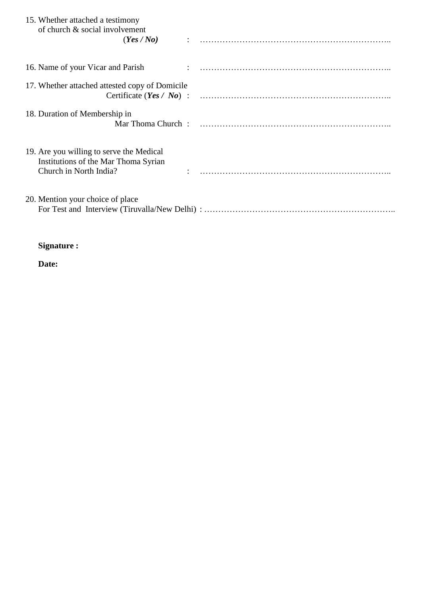| 15. Whether attached a testimony<br>of church & social involvement<br>(Yes/No)                             |  |
|------------------------------------------------------------------------------------------------------------|--|
| 16. Name of your Vicar and Parish                                                                          |  |
| 17. Whether attached attested copy of Domicile                                                             |  |
| 18. Duration of Membership in                                                                              |  |
| 19. Are you willing to serve the Medical<br>Institutions of the Mar Thoma Syrian<br>Church in North India? |  |
| 20. Mention your choice of place                                                                           |  |

## **Signature :**

**Date:**